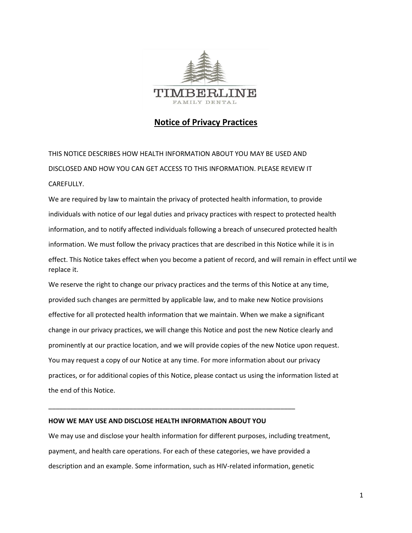

## **Notice of Privacy Practices**

THIS NOTICE DESCRIBES HOW HEALTH INFORMATION ABOUT YOU MAY BE USED AND DISCLOSED AND HOW YOU CAN GET ACCESS TO THIS INFORMATION. PLEASE REVIEW IT CAREFULLY.

We are required by law to maintain the privacy of protected health information, to provide individuals with notice of our legal duties and privacy practices with respect to protected health information, and to notify affected individuals following a breach of unsecured protected health information. We must follow the privacy practices that are described in this Notice while it is in effect. This Notice takes effect when you become a patient of record, and will remain in effect until we replace it.

We reserve the right to change our privacy practices and the terms of this Notice at any time, provided such changes are permitted by applicable law, and to make new Notice provisions effective for all protected health information that we maintain. When we make a significant change in our privacy practices, we will change this Notice and post the new Notice clearly and prominently at our practice location, and we will provide copies of the new Notice upon request. You may request a copy of our Notice at any time. For more information about our privacy practices, or for additional copies of this Notice, please contact us using the information listed at the end of this Notice.

## **HOW WE MAY USE AND DISCLOSE HEALTH INFORMATION ABOUT YOU**

\_\_\_\_\_\_\_\_\_\_\_\_\_\_\_\_\_\_\_\_\_\_\_\_\_\_\_\_\_\_\_\_\_\_\_\_\_\_\_\_\_\_\_\_\_\_\_\_\_\_\_\_\_\_\_\_\_\_\_\_\_\_\_\_\_\_\_

We may use and disclose your health information for different purposes, including treatment, payment, and health care operations. For each of these categories, we have provided a description and an example. Some information, such as HIV-related information, genetic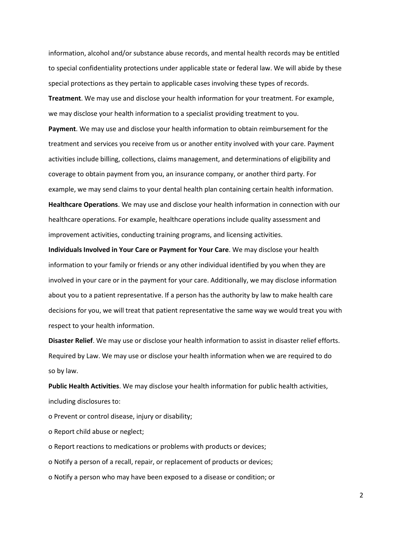information, alcohol and/or substance abuse records, and mental health records may be entitled to special confidentiality protections under applicable state or federal law. We will abide by these special protections as they pertain to applicable cases involving these types of records. **Treatment**. We may use and disclose your health information for your treatment. For example, we may disclose your health information to a specialist providing treatment to you.

**Payment**. We may use and disclose your health information to obtain reimbursement for the treatment and services you receive from us or another entity involved with your care. Payment activities include billing, collections, claims management, and determinations of eligibility and coverage to obtain payment from you, an insurance company, or another third party. For example, we may send claims to your dental health plan containing certain health information. **Healthcare Operations**. We may use and disclose your health information in connection with our healthcare operations. For example, healthcare operations include quality assessment and improvement activities, conducting training programs, and licensing activities.

**Individuals Involved in Your Care or Payment for Your Care**. We may disclose your health information to your family or friends or any other individual identified by you when they are involved in your care or in the payment for your care. Additionally, we may disclose information about you to a patient representative. If a person has the authority by law to make health care decisions for you, we will treat that patient representative the same way we would treat you with respect to your health information.

**Disaster Relief**. We may use or disclose your health information to assist in disaster relief efforts. Required by Law. We may use or disclose your health information when we are required to do so by law.

**Public Health Activities**. We may disclose your health information for public health activities, including disclosures to:

o Prevent or control disease, injury or disability;

o Report child abuse or neglect;

o Report reactions to medications or problems with products or devices;

o Notify a person of a recall, repair, or replacement of products or devices;

o Notify a person who may have been exposed to a disease or condition; or

2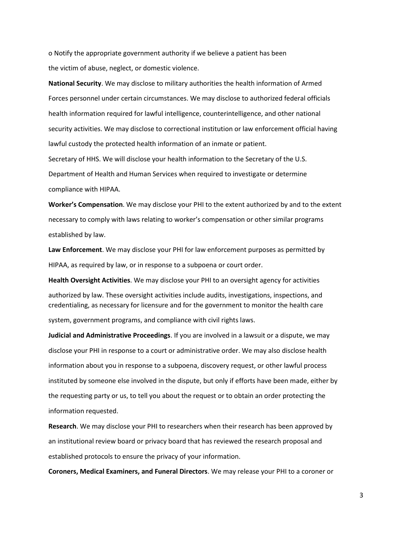o Notify the appropriate government authority if we believe a patient has been the victim of abuse, neglect, or domestic violence.

**National Security**. We may disclose to military authorities the health information of Armed Forces personnel under certain circumstances. We may disclose to authorized federal officials health information required for lawful intelligence, counterintelligence, and other national security activities. We may disclose to correctional institution or law enforcement official having lawful custody the protected health information of an inmate or patient.

Secretary of HHS. We will disclose your health information to the Secretary of the U.S. Department of Health and Human Services when required to investigate or determine compliance with HIPAA.

**Worker's Compensation**. We may disclose your PHI to the extent authorized by and to the extent necessary to comply with laws relating to worker's compensation or other similar programs established by law.

**Law Enforcement**. We may disclose your PHI for law enforcement purposes as permitted by HIPAA, as required by law, or in response to a subpoena or court order.

**Health Oversight Activities**. We may disclose your PHI to an oversight agency for activities

authorized by law. These oversight activities include audits, investigations, inspections, and credentialing, as necessary for licensure and for the government to monitor the health care system, government programs, and compliance with civil rights laws.

**Judicial and Administrative Proceedings**. If you are involved in a lawsuit or a dispute, we may disclose your PHI in response to a court or administrative order. We may also disclose health information about you in response to a subpoena, discovery request, or other lawful process instituted by someone else involved in the dispute, but only if efforts have been made, either by the requesting party or us, to tell you about the request or to obtain an order protecting the information requested.

**Research**. We may disclose your PHI to researchers when their research has been approved by an institutional review board or privacy board that has reviewed the research proposal and established protocols to ensure the privacy of your information.

**Coroners, Medical Examiners, and Funeral Directors**. We may release your PHI to a coroner or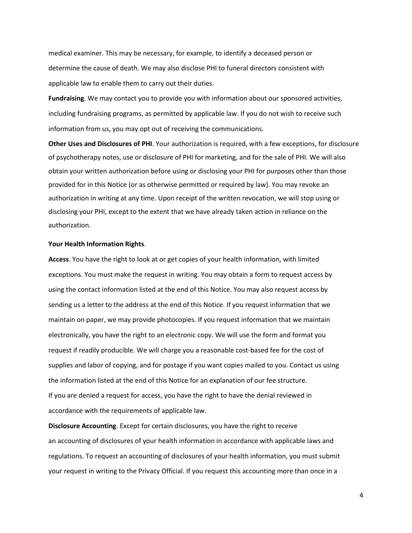medical examiner. This may be necessary, for example, to identify a deceased person or determine the cause of death. We may also disclose PHI to funeral directors consistent with applicable law to enable them to carry out their duties.

**Fundraising**. We may contact you to provide you with information about our sponsored activities, including fundraising programs, as permitted by applicable law. If you do not wish to receive such information from us, you may opt out of receiving the communications.

**Other Uses and Disclosures of PHI**. Your authorization is required, with a few exceptions, for disclosure of psychotherapy notes, use or disclosure of PHI for marketing, and for the sale of PHI. We will also obtain your written authorization before using or disclosing your PHI for purposes other than those provided for in this Notice (or as otherwise permitted or required by law). You may revoke an authorization in writing at any time. Upon receipt of the written revocation, we will stop using or disclosing your PHI, except to the extent that we have already taken action in reliance on the authorization.

## **Your Health Information Rights**.

**Access**. You have the right to look at or get copies of your health information, with limited exceptions. You must make the request in writing. You may obtain a form to request access by using the contact information listed at the end of this Notice. You may also request access by sending us a letter to the address at the end of this Notice. If you request information that we maintain on paper, we may provide photocopies. If you request information that we maintain electronically, you have the right to an electronic copy. We will use the form and format you request if readily producible. We will charge you a reasonable cost-based fee for the cost of supplies and labor of copying, and for postage if you want copies mailed to you. Contact us using the information listed at the end of this Notice for an explanation of our fee structure. If you are denied a request for access, you have the right to have the denial reviewed in accordance with the requirements of applicable law.

**Disclosure Accounting**. Except for certain disclosures, you have the right to receive an accounting of disclosures of your health information in accordance with applicable laws and regulations. To request an accounting of disclosures of your health information, you must submit your request in writing to the Privacy Official. If you request this accounting more than once in a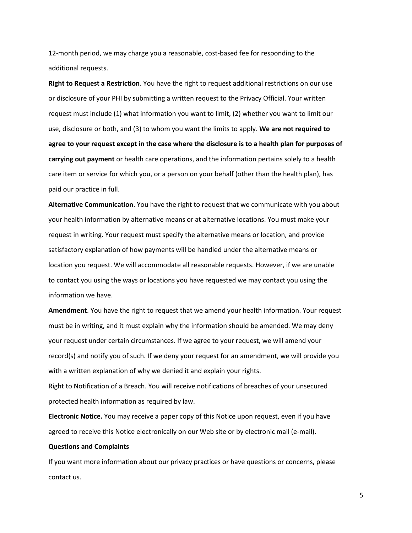12-month period, we may charge you a reasonable, cost-based fee for responding to the additional requests.

**Right to Request a Restriction**. You have the right to request additional restrictions on our use or disclosure of your PHI by submitting a written request to the Privacy Official. Your written request must include (1) what information you want to limit, (2) whether you want to limit our use, disclosure or both, and (3) to whom you want the limits to apply. **We are not required to agree to your request except in the case where the disclosure is to a health plan for purposes of carrying out payment** or health care operations, and the information pertains solely to a health care item or service for which you, or a person on your behalf (other than the health plan), has paid our practice in full.

**Alternative Communication**. You have the right to request that we communicate with you about your health information by alternative means or at alternative locations. You must make your request in writing. Your request must specify the alternative means or location, and provide satisfactory explanation of how payments will be handled under the alternative means or location you request. We will accommodate all reasonable requests. However, if we are unable to contact you using the ways or locations you have requested we may contact you using the information we have.

**Amendment**. You have the right to request that we amend your health information. Your request must be in writing, and it must explain why the information should be amended. We may deny your request under certain circumstances. If we agree to your request, we will amend your record(s) and notify you of such. If we deny your request for an amendment, we will provide you with a written explanation of why we denied it and explain your rights.

Right to Notification of a Breach. You will receive notifications of breaches of your unsecured protected health information as required by law.

**Electronic Notice.** You may receive a paper copy of this Notice upon request, even if you have agreed to receive this Notice electronically on our Web site or by electronic mail (e-mail).

## **Questions and Complaints**

If you want more information about our privacy practices or have questions or concerns, please contact us.

5